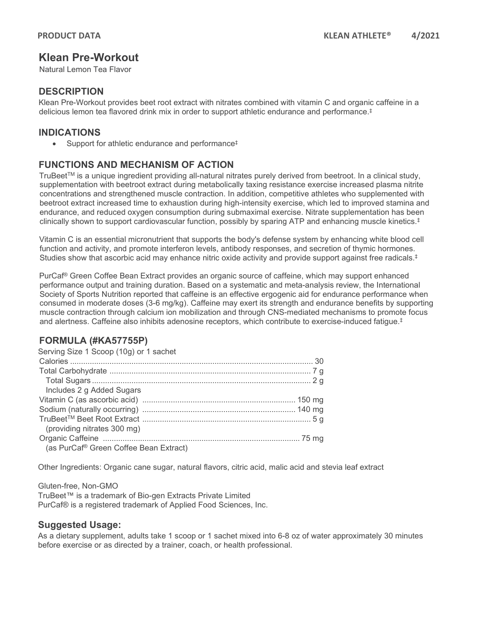# **Klean Pre-Workout**

Natural Lemon Tea Flavor

### **DESCRIPTION**

Klean Pre-Workout provides beet root extract with nitrates combined with vitamin C and organic caffeine in a delicious lemon tea flavored drink mix in order to support athletic endurance and performance. ‡

## **INDICATIONS**

• Support for athletic endurance and performance<sup>‡</sup>

# **FUNCTIONS AND MECHANISM OF ACTION**

TruBeet<sup>TM</sup> is a unique ingredient providing all-natural nitrates purely derived from beetroot. In a clinical study, supplementation with beetroot extract during metabolically taxing resistance exercise increased plasma nitrite concentrations and strengthened muscle contraction. In addition, competitive athletes who supplemented with beetroot extract increased time to exhaustion during high-intensity exercise, which led to improved stamina and endurance, and reduced oxygen consumption during submaximal exercise. Nitrate supplementation has been clinically shown to support cardiovascular function, possibly by sparing ATP and enhancing muscle kinetics.‡

Vitamin C is an essential micronutrient that supports the body's defense system by enhancing white blood cell function and activity, and promote interferon levels, antibody responses, and secretion of thymic hormones. Studies show that ascorbic acid may enhance nitric oxide activity and provide support against free radicals.<sup>‡</sup>

PurCaf® Green Coffee Bean Extract provides an organic source of caffeine, which may support enhanced performance output and training duration. Based on a systematic and meta-analysis review, the International Society of Sports Nutrition reported that caffeine is an effective ergogenic aid for endurance performance when consumed in moderate doses (3-6 mg/kg). Caffeine may exert its strength and endurance benefits by supporting muscle contraction through calcium ion mobilization and through CNS-mediated mechanisms to promote focus and alertness. Caffeine also inhibits adenosine receptors, which contribute to exercise-induced fatigue.‡

# **FORMULA (#KA57755P)**

| Serving Size 1 Scoop (10g) or 1 sachet |  |
|----------------------------------------|--|
|                                        |  |
|                                        |  |
|                                        |  |
| Includes 2 g Added Sugars              |  |
|                                        |  |
|                                        |  |
|                                        |  |
| (providing nitrates 300 mg)            |  |
|                                        |  |
| (as PurCaf® Green Coffee Bean Extract) |  |
|                                        |  |

Other Ingredients: Organic cane sugar, natural flavors, citric acid, malic acid and stevia leaf extract

Gluten-free, Non-GMO TruBeet™ is a trademark of Bio-gen Extracts Private Limited PurCaf® is a registered trademark of Applied Food Sciences, Inc.

#### **Suggested Usage:**

As a dietary supplement, adults take 1 scoop or 1 sachet mixed into 6-8 oz of water approximately 30 minutes before exercise or as directed by a trainer, coach, or health professional.